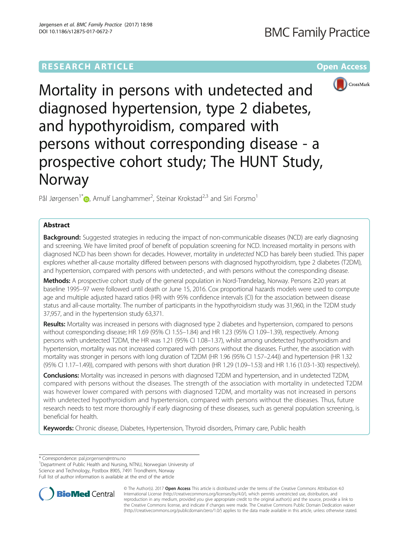# **RESEARCH ARTICLE Example 2014 12:30 The Community Community Community Community Community Community Community**



Mortality in persons with undetected and diagnosed hypertension, type 2 diabetes, and hypothyroidism, compared with persons without corresponding disease - a prospective cohort study; The HUNT Study, Norway

Pål Jørgensen<sup>1[\\*](http://orcid.org/0000-0002-7591-5876)</sup> D, Arnulf Langhammer<sup>2</sup>, Steinar Krokstad<sup>2,3</sup> and Siri Forsmo<sup>1</sup>

## Abstract

**Background:** Suggested strategies in reducing the impact of non-communicable diseases (NCD) are early diagnosing and screening. We have limited proof of benefit of population screening for NCD. Increased mortality in persons with diagnosed NCD has been shown for decades. However, mortality in undetected NCD has barely been studied. This paper explores whether all-cause mortality differed between persons with diagnosed hypothyroidism, type 2 diabetes (T2DM), and hypertension, compared with persons with undetected-, and with persons without the corresponding disease.

Methods: A prospective cohort study of the general population in Nord-Trøndelag, Norway. Persons ≥20 years at baseline 1995–97 were followed until death or June 15, 2016. Cox proportional hazards models were used to compute age and multiple adjusted hazard ratios (HR) with 95% confidence intervals (CI) for the association between disease status and all-cause mortality. The number of participants in the hypothyroidism study was 31,960, in the T2DM study 37,957, and in the hypertension study 63,371.

Results: Mortality was increased in persons with diagnosed type 2 diabetes and hypertension, compared to persons without corresponding disease; HR 1.69 (95% CI 1.55–1.84) and HR 1.23 (95% CI 1.09–1.39), respectively. Among persons with undetected T2DM, the HR was 1.21 (95% CI 1.08–1.37), whilst among undetected hypothyroidism and hypertension, mortality was not increased compared with persons without the diseases. Further, the association with mortality was stronger in persons with long duration of T2DM (HR 1.96 (95% CI 1.57–2.44)) and hypertension (HR 1.32 (95% CI 1.17–1.49)), compared with persons with short duration (HR 1.29 (1.09–1.53) and HR 1.16 (1.03-1-30) respectively).

Conclusions: Mortality was increased in persons with diagnosed T2DM and hypertension, and in undetected T2DM, compared with persons without the diseases. The strength of the association with mortality in undetected T2DM was however lower compared with persons with diagnosed T2DM, and mortality was not increased in persons with undetected hypothyroidism and hypertension, compared with persons without the diseases. Thus, future research needs to test more thoroughly if early diagnosing of these diseases, such as general population screening, is beneficial for health.

Keywords: Chronic disease, Diabetes, Hypertension, Thyroid disorders, Primary care, Public health

\* Correspondence: [pal.jorgensen@ntnu.no](mailto:pal.jorgensen@ntnu.no) <sup>1</sup>

<sup>1</sup>Department of Public Health and Nursing, NTNU, Norwegian University of Science and Technology, Postbox 8905, 7491 Trondheim, Norway Full list of author information is available at the end of the article



© The Author(s). 2017 **Open Access** This article is distributed under the terms of the Creative Commons Attribution 4.0 International License [\(http://creativecommons.org/licenses/by/4.0/](http://creativecommons.org/licenses/by/4.0/)), which permits unrestricted use, distribution, and reproduction in any medium, provided you give appropriate credit to the original author(s) and the source, provide a link to the Creative Commons license, and indicate if changes were made. The Creative Commons Public Domain Dedication waiver [\(http://creativecommons.org/publicdomain/zero/1.0/](http://creativecommons.org/publicdomain/zero/1.0/)) applies to the data made available in this article, unless otherwise stated.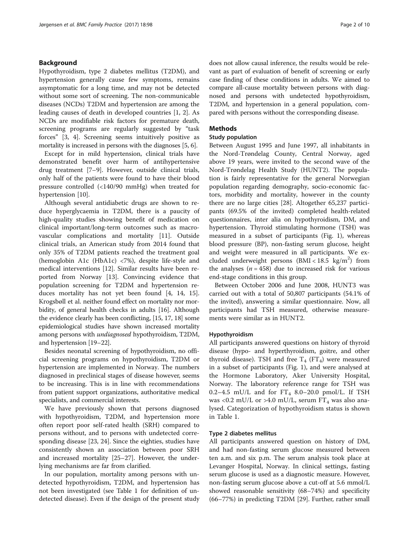## Background

Hypothyroidism, type 2 diabetes mellitus (T2DM), and hypertension generally cause few symptoms, remains asymptomatic for a long time, and may not be detected without some sort of screening. The non-communicable diseases (NCDs) T2DM and hypertension are among the leading causes of death in developed countries [[1, 2](#page-8-0)]. As NCDs are modifiable risk factors for premature death, screening programs are regularly suggested by "task forces" [\[3](#page-8-0), [4](#page-8-0)]. Screening seems intuitively positive as mortality is increased in persons with the diagnoses [\[5](#page-8-0), [6\]](#page-8-0).

Except for in mild hypertension, clinical trials have demonstrated benefit over harm of antihypertensive drug treatment [\[7](#page-8-0)–[9](#page-9-0)]. However, outside clinical trials, only half of the patients were found to have their blood pressure controlled (<140/90 mmHg) when treated for hypertension [[10](#page-9-0)].

Although several antidiabetic drugs are shown to reduce hyperglycaemia in T2DM, there is a paucity of high-quality studies showing benefit of medication on clinical important/long-term outcomes such as macrovascular complications and mortality [[11\]](#page-9-0). Outside clinical trials, an American study from 2014 found that only 35% of T2DM patients reached the treatment goal (hemoglobin A1c (HbA1c) <7%), despite life-style and medical interventions [[12](#page-9-0)]. Similar results have been reported from Norway [[13\]](#page-9-0). Convincing evidence that population screening for T2DM and hypertension reduces mortality has not yet been found [\[4](#page-8-0), [14](#page-9-0), [15](#page-9-0)]. Krogsbøll et al. neither found effect on mortality nor morbidity, of general health checks in adults [[16](#page-9-0)]. Although the evidence clearly has been conflicting, [\[15, 17](#page-9-0), [18\]](#page-9-0) some epidemiological studies have shown increased mortality among persons with undiagnosed hypothyroidism, T2DM, and hypertension [[19](#page-9-0)–[22\]](#page-9-0).

Besides neonatal screening of hypothyroidism, no official screening programs on hypothyroidism, T2DM or hypertension are implemented in Norway. The numbers diagnosed in preclinical stages of disease however, seems to be increasing. This is in line with recommendations from patient support organizations, authoritative medical specialists, and commercial interests.

We have previously shown that persons diagnosed with hypothyroidism, T2DM, and hypertension more often report poor self-rated health (SRH) compared to persons without, and to persons with undetected corresponding disease [[23](#page-9-0), [24](#page-9-0)]. Since the eighties, studies have consistently shown an association between poor SRH and increased mortality [[25](#page-9-0)–[27](#page-9-0)]. However, the underlying mechanisms are far from clarified.

In our population, mortality among persons with undetected hypothyroidism, T2DM, and hypertension has not been investigated (see Table [1](#page-2-0) for definition of undetected disease). Even if the design of the present study does not allow causal inference, the results would be relevant as part of evaluation of benefit of screening or early case finding of these conditions in adults. We aimed to compare all-cause mortality between persons with diagnosed and persons with undetected hypothyroidism, T2DM, and hypertension in a general population, compared with persons without the corresponding disease.

## Methods

## Study population

Between August 1995 and June 1997, all inhabitants in the Nord-Trøndelag County, Central Norway, aged above 19 years, were invited to the second wave of the Nord-Trøndelag Health Study (HUNT2). The population is fairly representative for the general Norwegian population regarding demography, socio-economic factors, morbidity and mortality, however in the county there are no large cities [\[28\]](#page-9-0). Altogether 65,237 participants (69.5% of the invited) completed health-related questionnaires, inter alia on hypothyroidism, DM, and hypertension. Thyroid stimulating hormone (TSH) was measured in a subset of participants (Fig. [1](#page-3-0)), whereas blood pressure (BP), non-fasting serum glucose, height and weight were measured in all participants. We excluded underweight persons  $(BMI < 18.5 \text{ kg/m}^2)$  from the analyses  $(n = 458)$  due to increased risk for various end-stage conditions in this group.

Between October 2006 and June 2008, HUNT3 was carried out with a total of 50,807 participants (54.1% of the invited), answering a similar questionnaire. Now, all participants had TSH measured, otherwise measurements were similar as in HUNT2.

## Hypothyroidism

All participants answered questions on history of thyroid disease (hypo- and hyperthyroidism, goitre, and other thyroid disease). TSH and free  $T_4$  (FT<sub>4</sub>) were measured in a subset of participants (Fig. [1\)](#page-3-0), and were analysed at the Hormone Laboratory, Aker University Hospital, Norway. The laboratory reference range for TSH was 0.2-4.5 mU/L and for  $FT_4$  8.0-20.0 pmol/L. If TSH was <0.2 mU/L or >4.0 mU/L, serum  $FT_4$  was also analysed. Categorization of hypothyroidism status is shown in Table [1](#page-2-0).

## Type 2 diabetes mellitus

All participants answered question on history of DM, and had non-fasting serum glucose measured between ten a.m. and six p.m. The serum analysis took place at Levanger Hospital, Norway. In clinical settings, fasting serum glucose is used as a diagnostic measure. However, non-fasting serum glucose above a cut-off at 5.6 mmol/L showed reasonable sensitivity (68–74%) and specificity (66–77%) in predicting T2DM [[29\]](#page-9-0). Further, rather small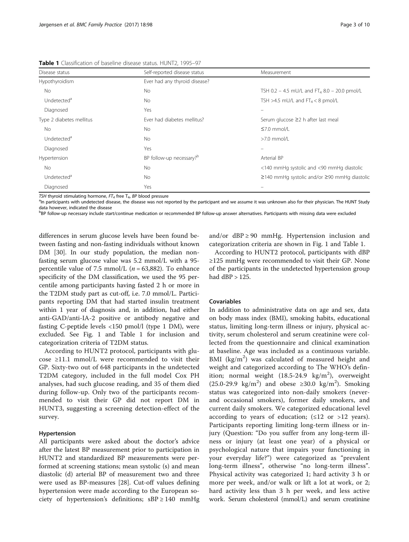| Disease status           | Self-reported disease status         | Measurement                                              |
|--------------------------|--------------------------------------|----------------------------------------------------------|
| Hypothyroidism           | Ever had any thyroid disease?        |                                                          |
| No.                      | No.                                  | TSH 0.2 - 4.5 mU/L and FT <sub>4</sub> 8.0 - 20.0 pmol/L |
| Undetected <sup>a</sup>  | No.                                  | TSH >4.5 mU/L and $FT_4 < 8$ pmol/L                      |
| Diagnosed                | Yes                                  |                                                          |
| Type 2 diabetes mellitus | Ever had diabetes mellitus?          | Serum glucose ≥2 h after last meal                       |
| No.                      | No.                                  | $\leq 7.0$ mmol/L                                        |
| Undetected <sup>a</sup>  | No.                                  | $>7.0$ mmol/L                                            |
| Diagnosed                | Yes                                  | $\overline{\phantom{0}}$                                 |
| Hypertension             | BP follow-up necessary? <sup>b</sup> | Arterial BP                                              |
| <b>No</b>                | No.                                  | <140 mmHg systolic and <90 mmHg diastolic                |
| Undetected <sup>a</sup>  | No.                                  | $\geq$ 140 mmHg systolic and/or $\geq$ 90 mmHg diastolic |
| Diagnosed                | Yes                                  |                                                          |

<span id="page-2-0"></span>Table 1 Classification of baseline disease status. HUNT2, 1995-97

TSH thyroid stimulating hormone,  $FT_4$  free  $T_4$ , BP blood pressure

<sup>a</sup>In participants with undetected disease, the disease was not reported by the participant and we assume it was unknown also for their physician. The HUNT Study data however, indicated the disease

bBP follow-up necessary include start/continue medication or recommended BP follow-up answer alternatives. Participants with missing data were excluded

differences in serum glucose levels have been found between fasting and non-fasting individuals without known DM [[30\]](#page-9-0). In our study population, the median nonfasting serum glucose value was 5.2 mmol/L with a 95 percentile value of 7.5 mmol/L ( $n = 63,882$ ). To enhance specificity of the DM classification, we used the 95 percentile among participants having fasted 2 h or more in the T2DM study part as cut-off, i.e. 7.0 mmol/L. Participants reporting DM that had started insulin treatment within 1 year of diagnosis and, in addition, had either anti-GAD/anti-IA-2 positive or antibody negative and fasting C-peptide levels <150 pmol/l (type 1 DM), were excluded. See Fig. [1](#page-3-0) and Table 1 for inclusion and categorization criteria of T2DM status.

According to HUNT2 protocol, participants with glucose ≥11.1 mmol/L were recommended to visit their GP. Sixty-two out of 648 participants in the undetected T2DM category, included in the full model Cox PH analyses, had such glucose reading, and 35 of them died during follow-up. Only two of the participants recommended to visit their GP did not report DM in HUNT3, suggesting a screening detection-effect of the survey.

## Hypertension

All participants were asked about the doctor's advice after the latest BP measurement prior to participation in HUNT2 and standardized BP measurements were performed at screening stations; mean systolic (s) and mean diastolic (d) arterial BP of measurement two and three were used as BP-measures [\[28](#page-9-0)]. Cut-off values defining hypertension were made according to the European society of hypertension's definitions;  $sBP \ge 140$  mmHg and/or  $dBP \ge 90$  mmHg. Hypertension inclusion and categorization criteria are shown in Fig. [1](#page-3-0) and Table 1.

According to HUNT2 protocol, participants with dBP ≥125 mmHg were recommended to visit their GP. None of the participants in the undetected hypertension group had dBP > 125.

#### Covariables

In addition to administrative data on age and sex, data on body mass index (BMI), smoking habits, educational status, limiting long-term illness or injury, physical activity, serum cholesterol and serum creatinine were collected from the questionnaire and clinical examination at baseline. Age was included as a continuous variable. BMI (kg/m<sup>2</sup>) was calculated of measured height and weight and categorized according to The WHO's definition; normal weight  $(18.5-24.9 \text{ kg/m}^2)$ , overweight  $(25.0-29.9 \text{ kg/m}^2)$  and obese ≥30.0 kg/m<sup>2</sup>). Smoking status was categorized into non-daily smokers (neverand occasional smokers), former daily smokers, and current daily smokers. We categorized educational level according to years of education;  $(\leq 12 \text{ or } >12 \text{ years}).$ Participants reporting limiting long-term illness or injury (Question: "Do you suffer from any long-term illness or injury (at least one year) of a physical or psychological nature that impairs your functioning in your everyday life?") were categorized as "prevalent long-term illness", otherwise "no long-term illness". Physical activity was categorized 1; hard activity 3 h or more per week, and/or walk or lift a lot at work, or 2; hard activity less than 3 h per week, and less active work. Serum cholesterol (mmol/L) and serum creatinine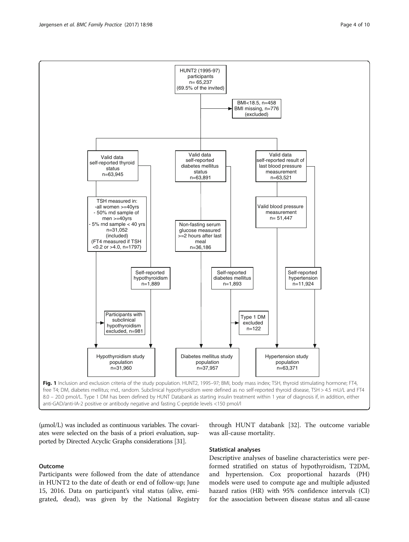

hypothyroidism

through HUNT databank [\[32](#page-9-0)]. The outcome variable was all-cause mortality.

## Statistical analyses

Descriptive analyses of baseline characteristics were performed stratified on status of hypothyroidism, T2DM, and hypertension. Cox proportional hazards (PH) models were used to compute age and multiple adjusted hazard ratios (HR) with 95% confidence intervals (CI) for the association between disease status and all-cause

#### **Outcome**

Participants were followed from the date of attendance in HUNT2 to the date of death or end of follow-up; June 15, 2016. Data on participant's vital status (alive, emigrated, dead), was given by the National Registry

(μmol/L) was included as continuous variables. The covariates were selected on the basis of a priori evaluation, supported by Directed Acyclic Graphs considerations [\[31](#page-9-0)].

<span id="page-3-0"></span>

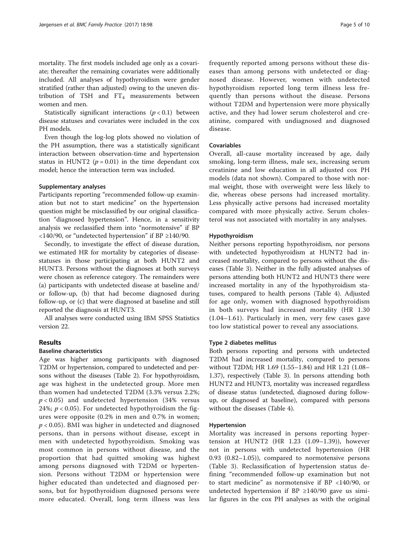mortality. The first models included age only as a covariate; thereafter the remaining covariates were additionally included. All analyses of hypothyroidism were gender stratified (rather than adjusted) owing to the uneven distribution of TSH and  $FT_4$  measurements between women and men.

Statistically significant interactions  $(p < 0.1)$  between disease statuses and covariates were included in the cox PH models.

Even though the log-log plots showed no violation of the PH assumption, there was a statistically significant interaction between observation-time and hypertension status in HUNT2 ( $p = 0.01$ ) in the time dependant cox model; hence the interaction term was included.

## Supplementary analyses

Participants reporting "recommended follow-up examination but not to start medicine" on the hypertension question might be misclassified by our original classification "diagnosed hypertension". Hence, in a sensitivity analysis we reclassified them into "normotensive" if BP <140/90, or "undetected hypertension" if BP ≥140/90.

Secondly, to investigate the effect of disease duration, we estimated HR for mortality by categories of diseasestatuses in those participating at both HUNT2 and HUNT3. Persons without the diagnoses at both surveys were chosen as reference category. The remainders were (a) participants with undetected disease at baseline and/ or follow-up, (b) that had become diagnosed during follow-up, or (c) that were diagnosed at baseline and still reported the diagnosis at HUNT3.

All analyses were conducted using IBM SPSS Statistics version 22.

## Results

## Baseline characteristics

Age was higher among participants with diagnosed T2DM or hypertension, compared to undetected and persons without the diseases (Table [2](#page-5-0)). For hypothyroidism, age was highest in the undetected group. More men than women had undetected T2DM (3.3% versus 2.2%;  $p < 0.05$ ) and undetected hypertension (34% versus 24%;  $p < 0.05$ ). For undetected hypothyroidism the figures were opposite (0.2% in men and 0.7% in women;  $p < 0.05$ ). BMI was higher in undetected and diagnosed persons, than in persons without disease, except in men with undetected hypothyroidism. Smoking was most common in persons without disease, and the proportion that had quitted smoking was highest among persons diagnosed with T2DM or hypertension. Persons without T2DM or hypertension were higher educated than undetected and diagnosed persons, but for hypothyroidism diagnosed persons were more educated. Overall, long term illness was less frequently reported among persons without these diseases than among persons with undetected or diagnosed disease. However, women with undetected hypothyroidism reported long term illness less frequently than persons without the disease. Persons without T2DM and hypertension were more physically active, and they had lower serum cholesterol and creatinine, compared with undiagnosed and diagnosed disease.

## Covariables

Overall, all-cause mortality increased by age, daily smoking, long-term illness, male sex, increasing serum creatinine and low education in all adjusted cox PH models (data not shown). Compared to those with normal weight, those with overweight were less likely to die, whereas obese persons had increased mortality. Less physically active persons had increased mortality compared with more physically active. Serum cholesterol was not associated with mortality in any analyses.

### Hypothyroidism

Neither persons reporting hypothyroidism, nor persons with undetected hypothyroidism at HUNT2 had increased mortality, compared to persons without the diseases (Table [3](#page-5-0)). Neither in the fully adjusted analyses of persons attending both HUNT2 and HUNT3 there were increased mortality in any of the hypothyroidism statuses, compared to health persons (Table [4\)](#page-6-0). Adjusted for age only, women with diagnosed hypothyroidism in both surveys had increased mortality (HR 1.30 (1.04–1.61). Particularly in men, very few cases gave too low statistical power to reveal any associations.

## Type 2 diabetes mellitus

Both persons reporting and persons with undetected T2DM had increased mortality, compared to persons without T2DM; HR 1.69 (1.55–1.84) and HR 1.21 (1.08– 1.37), respectively (Table [3](#page-5-0)). In persons attending both HUNT2 and HUNT3, mortality was increased regardless of disease status (undetected, diagnosed during followup, or diagnosed at baseline), compared with persons without the diseases (Table [4\)](#page-6-0).

#### Hypertension

Mortality was increased in persons reporting hypertension at HUNT2 (HR 1.23 (1.09–1.39)), however not in persons with undetected hypertension (HR 0.93 (0.82–1.05)), compared to normotensive persons (Table [3](#page-5-0)). Reclassification of hypertension status defining "recommended follow-up examination but not to start medicine" as normotensive if BP <140/90, or undetected hypertension if BP  $\geq$ 140/90 gave us similar figures in the cox PH analyses as with the original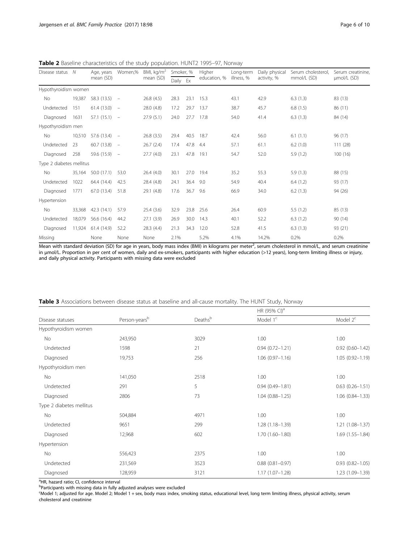<span id="page-5-0"></span>Table 2 Baseline characteristics of the study population. HUNT2 1995–97, Norway

| Disease status<br>N      | Age, years | Women,%        | BMI, $kg/m2$             | Smoker, %  |          | Higher | Long-term    | Daily physical | Serum cholesterol. | Serum creatinine |             |
|--------------------------|------------|----------------|--------------------------|------------|----------|--------|--------------|----------------|--------------------|------------------|-------------|
|                          |            | mean (SD)      |                          | mean (SD)  | Daily Ex |        | education, % | illness, %     | activity, %        | mmol/L (SD)      | umol/L (SD) |
| Hypothyroidism women     |            |                |                          |            |          |        |              |                |                    |                  |             |
| <b>No</b>                | 19,387     | $58.3(13.5) -$ |                          | 26.8(4.5)  | 28.3     | 23.1   | 15.3         | 43.1           | 42.9               | 6.3(1.3)         | 83 (13)     |
| Undetected               | 151        | 61.4(13.0)     | $\overline{\phantom{a}}$ | 28.0 (4.8) | 17.2     | 29.7   | 13.7         | 38.7           | 45.7               | 6.8(1.5)         | 86 (11)     |
| Diagnosed                | 1631       | $57.1(15.1) -$ |                          | 27.9(5.1)  | 24.0     | 27.7   | 17.8         | 54.0           | 41.4               | 6.3(1.3)         | 84 (14)     |
| Hypothyroidism men       |            |                |                          |            |          |        |              |                |                    |                  |             |
| <b>No</b>                | 10,510     | 57.6 (13.4)    | $\overline{\phantom{a}}$ | 26.8(3.5)  | 29.4     | 40.5   | 18.7         | 42.4           | 56.0               | 6.1(1.1)         | 96 (17)     |
| Undetected               | 23         | 60.7 (13.8)    | $\overline{\phantom{a}}$ | 26.7(2.4)  | 17.4     | 47.8   | 4.4          | 57.1           | 61.1               | 6.2(1.0)         | 111 (28)    |
| Diagnosed                | 258        | $59.6(15.9) -$ |                          | 27.7(4.0)  | 23.1     | 47.8   | 19.1         | 54.7           | 52.0               | 5.9(1.2)         | 100(16)     |
| Type 2 diabetes mellitus |            |                |                          |            |          |        |              |                |                    |                  |             |
| <b>No</b>                | 35,164     | 50.0(17.1)     | 53.0                     | 26.4 (4.0) | 30.1     | 27.0   | 19.4         | 35.2           | 55.3               | 5.9(1.3)         | 88 (15)     |
| Undetected               | 1022       | 64.4 (14.4)    | 42.5                     | 28.4 (4.8) | 24.1     | 36.4   | 9.0          | 54.9           | 40.4               | 6.4(1.2)         | 93 (17)     |
| Diagnosed                | 1771       | 67.0 (13.4)    | 51.8                     | 29.1 (4.8) | 17.6     | 36.7   | 9.6          | 66.9           | 34.0               | 6.2(1.3)         | 94 (26)     |
| Hypertension             |            |                |                          |            |          |        |              |                |                    |                  |             |
| <b>No</b>                | 33,368     | 42.3(14.1)     | 57.9                     | 25.4(3.6)  | 32.9     | 23.8   | 25.6         | 26.4           | 60.9               | 5.5(1.2)         | 85(13)      |
| Undetected               | 18,079     | 56.6 (16.4)    | 44.2                     | 27.1(3.9)  | 26.9     | 30.0   | 14.3         | 40.1           | 52.2               | 6.3(1.2)         | 90(14)      |
| Diagnosed                | 11,924     | 61.4 (14.9)    | 52.2                     | 28.3 (4.4) | 21.3     | 34.3   | 12.0         | 52.8           | 41.5               | 6.3(1.3)         | 93 (21)     |
| Missing                  |            | None           | None                     | None       | 2.1%     |        | 5.2%         | 4.1%           | 14.2%              | 0.2%             | 0.2%        |

Mean with standard deviation (SD) for age in years, body mass index (BMI) in kilograms per meter<sup>2</sup>, serum cholesterol in mmol/L, and serum creatinine in μmol/L. Proportion in per cent of women, daily and ex-smokers, participants with higher education (>12 years), long-term limiting illness or injury, and daily physical activity. Participants with missing data were excluded

| <b>Table 3</b> Associations between disease status at baseline and all-cause mortality. The HUNT Study, Norway |  |  |  |  |
|----------------------------------------------------------------------------------------------------------------|--|--|--|--|
|----------------------------------------------------------------------------------------------------------------|--|--|--|--|

|                          |                           |         | HR (95% CI) <sup>a</sup> |                        |  |
|--------------------------|---------------------------|---------|--------------------------|------------------------|--|
| Disease statuses         | Person-years <sup>b</sup> | Deathsb | Model 1 <sup>c</sup>     | Model $2c$             |  |
| Hypothyroidism women     |                           |         |                          |                        |  |
| No                       | 243,950                   | 3029    | 1.00                     | 1.00                   |  |
| Undetected               | 1598                      | 21      | $0.94(0.72 - 1.21)$      | $0.92(0.60 - 1.42)$    |  |
| Diagnosed                | 19,753                    | 256     | $1.06(0.97 - 1.16)$      | $1.05(0.92 - 1.19)$    |  |
| Hypothyroidism men       |                           |         |                          |                        |  |
| No                       | 141,050                   | 2518    | 1.00                     | 1.00                   |  |
| Undetected               | 291                       | 5       | $0.94(0.49 - 1.81)$      | $0.63$ $(0.26 - 1.51)$ |  |
| Diagnosed                | 2806                      | 73      | $1.04(0.88 - 1.25)$      | $1.06(0.84 - 1.33)$    |  |
| Type 2 diabetes mellitus |                           |         |                          |                        |  |
| No                       | 504,884                   | 4971    | 1.00                     | 1.00                   |  |
| Undetected               | 9651                      | 299     | $1.28(1.18 - 1.39)$      | $1.21(1.08-1.37)$      |  |
| Diagnosed                | 12,968                    | 602     | $1.70(1.60 - 1.80)$      | $1.69(1.55 - 1.84)$    |  |
| Hypertension             |                           |         |                          |                        |  |
| No                       | 556,423                   | 2375    | 1.00                     | 1.00                   |  |
| Undetected               | 231,569                   | 3523    | $0.88$ $(0.81 - 0.97)$   | $0.93(0.82 - 1.05)$    |  |
| Diagnosed                | 128,959                   | 3121    | $1.17(1.07 - 1.28)$      | 1.23 (1.09-1.39)       |  |

<sup>a</sup>HR, hazard ratio; CI, confidence interval

<sup>b</sup>Participants with missing data in fully adjusted analyses were excluded

c Model 1; adjusted for age. Model 2; Model 1 + sex, body mass index, smoking status, educational level, long term limiting illness, physical activity, serum cholesterol and creatinine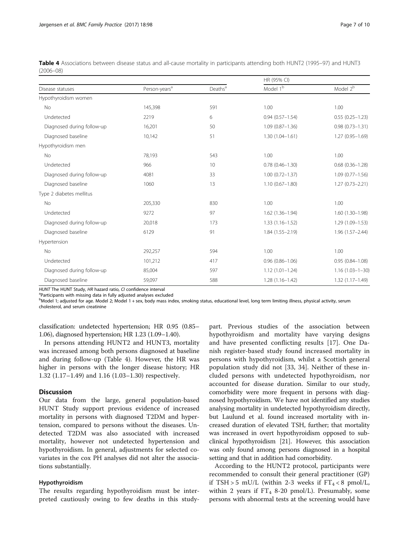<span id="page-6-0"></span>

| Table 4 Associations between disease status and all-cause mortality in participants attending both HUNT2 (1995–97) and HUNT3 |  |  |  |
|------------------------------------------------------------------------------------------------------------------------------|--|--|--|
| $(2006 - 08)$                                                                                                                |  |  |  |

|                            |                           |                     | HR (95% CI)          |                       |  |
|----------------------------|---------------------------|---------------------|----------------------|-----------------------|--|
| Disease statuses           | Person-years <sup>a</sup> | Deaths <sup>a</sup> | Model 1 <sup>b</sup> | Model $2^b$           |  |
| Hypothyroidism women       |                           |                     |                      |                       |  |
| No                         | 145,398                   | 591                 | 1.00                 | 1.00                  |  |
| Undetected                 | 2219                      | 6                   | $0.94(0.57 - 1.54)$  | $0.55(0.25 - 1.23)$   |  |
| Diagnosed during follow-up | 16,201                    | 50                  | $1.09(0.87 - 1.36)$  | $0.98(0.73 - 1.31)$   |  |
| Diagnosed baseline         | 10,142                    | 51                  | $1.30(1.04 - 1.61)$  | $1.27(0.95 - 1.69)$   |  |
| Hypothyroidism men         |                           |                     |                      |                       |  |
| <b>No</b>                  | 78.193                    | 543                 | 1.00                 | 1.00                  |  |
| Undetected                 | 966                       | 10 <sup>°</sup>     | $0.78(0.46 - 1.30)$  | $0.68(0.36 - 1.28)$   |  |
| Diagnosed during follow-up | 4081                      | 33                  | $1.00(0.72 - 1.37)$  | $1.09(0.77 - 1.56)$   |  |
| Diagnosed baseline         | 1060                      | 13                  | $1.10(0.67 - 1.80)$  | $1.27(0.73 - 2.21)$   |  |
| Type 2 diabetes mellitus   |                           |                     |                      |                       |  |
| No                         | 205,330                   | 830                 | 1.00                 | 1.00                  |  |
| Undetected                 | 9272                      | 97                  | $1.62(1.36 - 1.94)$  | $1.60(1.30-1.98)$     |  |
| Diagnosed during follow-up | 20,018                    | 173                 | $1.33(1.16 - 1.52)$  | $1.29(1.09 - 1.53)$   |  |
| Diagnosed baseline         | 6129                      | 91                  | $1.84(1.55 - 2.19)$  | $1.96(1.57 - 2.44)$   |  |
| Hypertension               |                           |                     |                      |                       |  |
| <b>No</b>                  | 292,257                   | 594                 | 1.00                 | 1.00                  |  |
| Undetected                 | 101,212                   | 417                 | $0.96(0.86 - 1.06)$  | $0.95(0.84 - 1.08)$   |  |
| Diagnosed during follow-up | 85,004                    | 597                 | $1.12(1.01 - 1.24)$  | $1.16(1.03 - 1 - 30)$ |  |
| Diagnosed baseline         | 59,097                    | 588                 | $1.28(1.16 - 1.42)$  | $1.32(1.17 - 1.49)$   |  |

HUNT The HUNT Study, HR hazard ratio, CI confidence interval

<sup>a</sup>Participants with missing data in fully adjusted analyses excluded

b<br>Model 1; adjusted for age. Model 2; Model 1 + sex, body mass index, smoking status, educational level, long term limiting illness, physical activity, serum cholesterol, and serum creatinine

classification: undetected hypertension; HR 0.95 (0.85– 1.06), diagnosed hypertension; HR 1.23 (1.09–1.40).

In persons attending HUNT2 and HUNT3, mortality was increased among both persons diagnosed at baseline and during follow-up (Table 4). However, the HR was higher in persons with the longer disease history; HR 1.32 (1.17–1.49) and 1.16 (1.03–1.30) respectively.

## **Discussion**

Our data from the large, general population-based HUNT Study support previous evidence of increased mortality in persons with diagnosed T2DM and hypertension, compared to persons without the diseases. Undetected T2DM was also associated with increased mortality, however not undetected hypertension and hypothyroidism. In general, adjustments for selected covariates in the cox PH analyses did not alter the associations substantially.

#### Hypothyroidism

The results regarding hypothyroidism must be interpreted cautiously owing to few deaths in this study-

part. Previous studies of the association between hypothyroidism and mortality have varying designs and have presented conflicting results [[17\]](#page-9-0). One Danish register-based study found increased mortality in persons with hypothyroidism, whilst a Scottish general population study did not [\[33](#page-9-0), [34](#page-9-0)]. Neither of these included persons with undetected hypothyroidism, nor accounted for disease duration. Similar to our study, comorbidity were more frequent in persons with diagnosed hypothyroidism. We have not identified any studies analysing mortality in undetected hypothyroidism directly, but Laulund et al. found increased mortality with increased duration of elevated TSH, further; that mortality was increased in overt hypothyroidism opposed to subclinical hypothyroidism [\[21](#page-9-0)]. However, this association was only found among persons diagnosed in a hospital setting and that in addition had comorbidity.

According to the HUNT2 protocol, participants were recommended to consult their general practitioner (GP) if TSH > 5 mU/L (within 2-3 weeks if  $FT_4 < 8$  pmol/L, within 2 years if  $FT_4$  8-20 pmol/L). Presumably, some persons with abnormal tests at the screening would have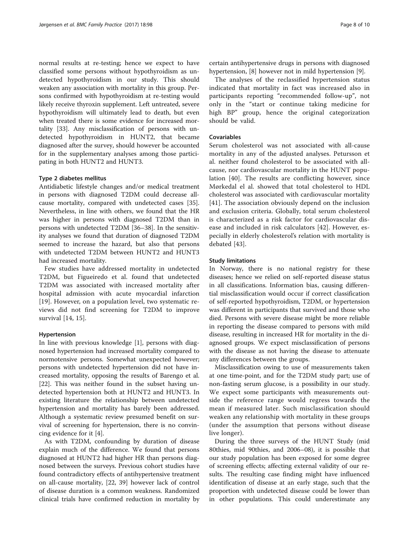normal results at re-testing; hence we expect to have classified some persons without hypothyroidism as undetected hypothyroidism in our study. This should weaken any association with mortality in this group. Persons confirmed with hypothyroidism at re-testing would likely receive thyroxin supplement. Left untreated, severe hypothyroidism will ultimately lead to death, but even when treated there is some evidence for increased mortality [[33\]](#page-9-0). Any misclassification of persons with undetected hypothyroidism in HUNT2, that became diagnosed after the survey, should however be accounted for in the supplementary analyses among those participating in both HUNT2 and HUNT3.

#### Type 2 diabetes mellitus

Antidiabetic lifestyle changes and/or medical treatment in persons with diagnosed T2DM could decrease allcause mortality, compared with undetected cases [\[35](#page-9-0)]. Nevertheless, in line with others, we found that the HR was higher in persons with diagnosed T2DM than in persons with undetected T2DM [[36](#page-9-0)–[38](#page-9-0)]. In the sensitivity analyses we found that duration of diagnosed T2DM seemed to increase the hazard, but also that persons with undetected T2DM between HUNT2 and HUNT3 had increased mortality.

Few studies have addressed mortality in undetected T2DM, but Figueiredo et al. found that undetected T2DM was associated with increased mortality after hospital admission with acute myocardial infarction [[19\]](#page-9-0). However, on a population level, two systematic reviews did not find screening for T2DM to improve survival [\[14](#page-9-0), [15](#page-9-0)].

#### Hypertension

In line with previous knowledge [[1\]](#page-8-0), persons with diagnosed hypertension had increased mortality compared to normotensive persons. Somewhat unexpected however; persons with undetected hypertension did not have increased mortality, opposing the results of Barengo et al. [[22\]](#page-9-0). This was neither found in the subset having undetected hypertension both at HUNT2 and HUNT3. In existing literature the relationship between undetected hypertension and mortality has barely been addressed. Although a systematic review presumed benefit on survival of screening for hypertension, there is no convincing evidence for it [\[4](#page-8-0)].

As with T2DM, confounding by duration of disease explain much of the difference. We found that persons diagnosed at HUNT2 had higher HR than persons diagnosed between the surveys. Previous cohort studies have found contradictory effects of antihypertensive treatment on all-cause mortality, [\[22](#page-9-0), [39](#page-9-0)] however lack of control of disease duration is a common weakness. Randomized clinical trials have confirmed reduction in mortality by

certain antihypertensive drugs in persons with diagnosed hypertension, [[8\]](#page-9-0) however not in mild hypertension [\[9](#page-9-0)].

The analyses of the reclassified hypertension status indicated that mortality in fact was increased also in participants reporting "recommended follow-up", not only in the "start or continue taking medicine for high BP" group, hence the original categorization should be valid.

## Covariables

Serum cholesterol was not associated with all-cause mortality in any of the adjusted analyses. Petursson et al. neither found cholesterol to be associated with allcause, nor cardiovascular mortality in the HUNT population [\[40](#page-9-0)]. The results are conflicting however, since Mørkedal el al. showed that total cholesterol to HDL cholesterol was associated with cardiovascular mortality [[41](#page-9-0)]. The association obviously depend on the inclusion and exclusion criteria. Globally, total serum cholesterol is characterized as a risk factor for cardiovascular disease and included in risk calculators [\[42](#page-9-0)]. However, especially in elderly cholesterol's relation with mortality is debated [\[43](#page-9-0)].

#### Study limitations

In Norway, there is no national registry for these diseases; hence we relied on self-reported disease status in all classifications. Information bias, causing differential misclassification would occur if correct classification of self-reported hypothyroidism, T2DM, or hypertension was different in participants that survived and those who died. Persons with severe disease might be more reliable in reporting the disease compared to persons with mild disease, resulting in increased HR for mortality in the diagnosed groups. We expect misclassification of persons with the disease as not having the disease to attenuate any differences between the groups.

Misclassification owing to use of measurements taken at one time-point, and for the T2DM study part; use of non-fasting serum glucose, is a possibility in our study. We expect some participants with measurements outside the reference range would regress towards the mean if measured later. Such misclassification should weaken any relationship with mortality in these groups (under the assumption that persons without disease live longer).

During the three surveys of the HUNT Study (mid 80thies, mid 90thies, and 2006–08), it is possible that our study population has been exposed for some degree of screening effects; affecting external validity of our results. The resulting case finding might have influenced identification of disease at an early stage, such that the proportion with undetected disease could be lower than in other populations. This could underestimate any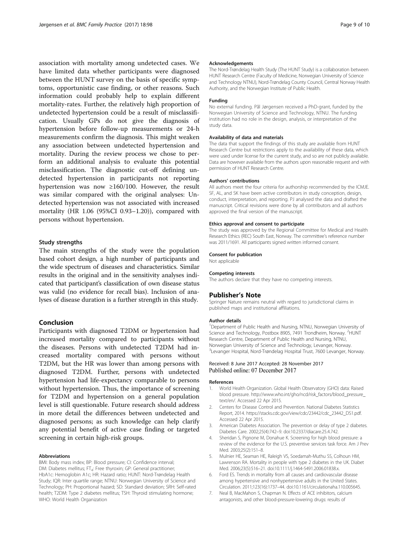<span id="page-8-0"></span>association with mortality among undetected cases. We have limited data whether participants were diagnosed between the HUNT survey on the basis of specific symptoms, opportunistic case finding, or other reasons. Such information could probably help to explain different mortality-rates. Further, the relatively high proportion of undetected hypertension could be a result of misclassification. Usually GPs do not give the diagnosis of hypertension before follow-up measurements or 24-h measurements confirm the diagnosis. This might weaken any association between undetected hypertension and mortality. During the review process we chose to perform an additional analysis to evaluate this potential misclassification. The diagnostic cut-off defining undetected hypertension in participants not reporting hypertension was now ≥160/100. However, the result was similar compared with the original analyses: Undetected hypertension was not associated with increased mortality (HR 1.06 (95%CI 0.93–1.20)), compared with persons without hypertension.

## Study strengths

The main strengths of the study were the population based cohort design, a high number of participants and the wide spectrum of diseases and characteristics. Similar results in the original and in the sensitivity analyses indicated that participant's classification of own disease status was valid (no evidence for recall bias). Inclusion of analyses of disease duration is a further strength in this study.

## Conclusion

Participants with diagnosed T2DM or hypertension had increased mortality compared to participants without the diseases. Persons with undetected T2DM had increased mortality compared with persons without T2DM, but the HR was lower than among persons with diagnosed T2DM. Further, persons with undetected hypertension had life-expectancy comparable to persons without hypertension. Thus, the importance of screening for T2DM and hypertension on a general population level is still questionable. Future research should address in more detail the differences between undetected and diagnosed persons; as such knowledge can help clarify any potential benefit of active case finding or targeted screening in certain high-risk groups.

#### Abbreviations

BMI: Body mass index; BP: Blood pressure; CI: Confidence interval; DM: Diabetes mellitus;  $FT_4$ : Free thyroxin; GP: General practitioner; HbA1c: Hemoglobin A1c; HR: Hazard ratio; HUNT: Nord-Trøndelag Health Study; IQR: Inter quartile range; NTNU: Norwegian University of Science and Technology; PH: Proportional hazard; SD: Standard deviation; SRH: Self-rated health; T2DM: Type 2 diabetes mellitus; TSH: Thyroid stimulating hormone; WHO: World Health Organization

#### Acknowledgements

The Nord-Trøndelag Health Study (The HUNT Study) is a collaboration between HUNT Research Centre (Faculty of Medicine, Norwegian University of Science and Technology NTNU), Nord-Trøndelag County Council, Central Norway Health Authority, and the Norwegian Institute of Public Health.

### Funding

No external funding. Pål Jørgensen received a PhD-grant, funded by the Norwegian University of Science and Technology, NTNU. The funding institution had no role in the design, analysis, or interpretation of the study data.

#### Availability of data and materials

The data that support the findings of this study are available from HUNT Research Centre but restrictions apply to the availability of these data, which were used under license for the current study, and so are not publicly available. Data are however available from the authors upon reasonable request and with permission of HUNT Research Centre.

#### Authors' contributions

All authors meet the four criteria for authorship recommended by the ICMJE. SF, AL, and SK have been active contributors in study conception, design, conduct, interpretation, and reporting. PJ analysed the data and drafted the manuscript. Critical revisions were done by all contributors and all authors approved the final version of the manuscript.

#### Ethics approval and consent to participate

The study was approved by the Regional Committee for Medical and Health Research Ethics (REC) South East, Norway. The committee's reference number was 2011/1691. All participants signed written informed consent.

#### Consent for publication

Not applicable

#### Competing interests

The authors declare that they have no competing interests.

#### Publisher's Note

Springer Nature remains neutral with regard to jurisdictional claims in published maps and institutional affiliations.

#### Author details

<sup>1</sup>Department of Public Health and Nursing, NTNU, Norwegian University of Science and Technology, Postbox 8905, 7491 Trondheim, Norway. <sup>2</sup>HUNT Research Centre, Department of Public Health and Nursing, NTNU, Norwegian University of Science and Technology, Levanger, Norway. <sup>3</sup>Levanger Hospital, Nord-Trøndelag Hospital Trust, 7600 Levanger, Norway

## Received: 8 June 2017 Accepted: 28 November 2017 Published online: 07 December 2017

#### References

- 1. World Health Organization. Global Health Observatory (GHO) data: Raised blood pressure. [http://www.who.int/gho/ncd/risk\\_factors/blood\\_pressure\\_](http://www.who.int/gho/ncd/risk_factors/blood_pressure_text/en) [text/en/.](http://www.who.int/gho/ncd/risk_factors/blood_pressure_text/en) Accessed 22 Apr 2015.
- 2. Centers for Disease Control and Prevention. National Diabetes Statistics Report, 2014. [https://stacks.cdc.gov/view/cdc/23442/cdc\\_23442\\_DS1.pdf.](https://stacks.cdc.gov/view/cdc/23442/cdc_23442_DS1.pdf) Accessed 22 Apr 2015.
- 3. American Diabetes Association. The prevention or delay of type 2 diabetes. Diabetes Care. 2002;25(4):742–9. doi[:10.2337/diacare.25.4.742.](http://dx.doi.org/10.2337/diacare.25.4.742)
- 4. Sheridan S, Pignone M, Donahue K. Screening for high blood pressure: a review of the evidence for the U.S. preventive services task force. Am J Prev Med. 2003;25(2):151–8.
- 5. Mulnier HE, Seaman HE, Raleigh VS, Soedamah-Muthu SS, Colhoun HM, Lawrenson RA. Mortality in people with type 2 diabetes in the UK. Diabet Med. 2006;23(5):516–21. doi[:10.1111/j.1464-5491.2006.01838.x.](http://dx.doi.org/10.1111/j.1464-5491.2006.01838.x)
- 6. Ford ES. Trends in mortality from all causes and cardiovascular disease among hypertensive and nonhypertensive adults in the United States. Circulation. 2011;123(16):1737–44. doi:[10.1161/circulationaha.110.005645.](http://dx.doi.org/10.1161/circulationaha.110.005645)
- 7. Neal B, MacMahon S, Chapman N. Effects of ACE inhibitors, calcium antagonists, and other blood-pressure-lowering drugs: results of